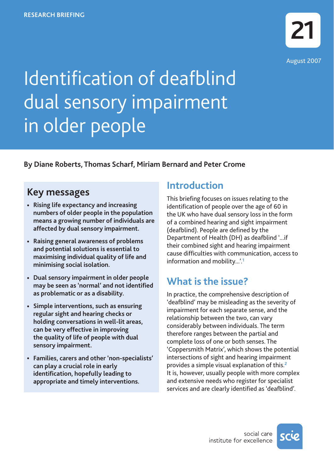

# Identification of deafblind dual sensory impairment in older people

## **By Diane Roberts, Thomas Scharf, Miriam Bernard and Peter Crome**

## **Key messages**

- **• Rising life expectancy and increasing numbers of older people in the population means a growing number of individuals are affected by dual sensory impairment.**
- **• Raising general awareness of problems and potential solutions is essential to maximising individual quality of life and minimising social isolation.**
- **• Dual sensory impairment in older people may be seen as 'normal' and not identified as problematic or as a disability.**
- **• Simple interventions, such as ensuring regular sight and hearing checks or holding conversations in well-lit areas, can be very effective in improving the quality of life of people with dual sensory impairment.**
- **• Families, carers and other 'non-specialists' can play a crucial role in early identification, hopefully leading to appropriate and timely interventions.**

## **Introduction**

This briefing focuses on issues relating to the identification of people over the age of 60 in the UK who have dual sensory loss in the form of a combined hearing and sight impairment (deafblind). People are defined by the Department of Health (DH) as deafblind '...if their combined sight and hearing impairment cause difficulties with communication, access to information and mobility...'.**<sup>1</sup>**

## **What is the issue?**

In practice, the comprehensive description of 'deafblind' may be misleading as the severity of impairment for each separate sense, and the relationship between the two, can vary considerably between individuals. The term therefore ranges between the partial and complete loss of one or both senses. The 'Coppersmith Matrix', which shows the potential intersections of sight and hearing impairment provides a simple visual explanation of this.**<sup>2</sup>** It is, however, usually people with more complex and extensive needs who register for specialist services and are clearly identified as 'deafblind'.

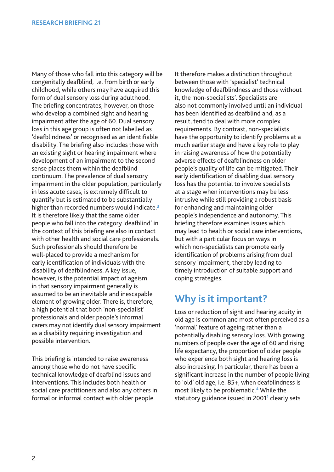Many of those who fall into this category will be congenitally deafblind, i.e. from birth or early childhood, while others may have acquired this form of dual sensory loss during adulthood. The briefing concentrates, however, on those who develop a combined sight and hearing impairment after the age of 60. Dual sensory loss in this age group is often not labelled as 'deafblindness' or recognised as an identifiable disability. The briefing also includes those with an existing sight or hearing impairment where development of an impairment to the second sense places them within the deafblind continuum. The prevalence of dual sensory impairment in the older population, particularly in less acute cases, is extremely difficult to quantify but is estimated to be substantially higher than recorded numbers would indicate.**<sup>3</sup>** It is therefore likely that the same older people who fall into the category 'deafblind' in the context of this briefing are also in contact with other health and social care professionals. Such professionals should therefore be well-placed to provide a mechanism for early identification of individuals with the disability of deafblindness. A key issue, however, is the potential impact of ageism in that sensory impairment generally is assumed to be an inevitable and inescapable element of growing older. There is, therefore, a high potential that both 'non-specialist' professionals and older people's informal carers may not identify dual sensory impairment as a disability requiring investigation and possible intervention.

This briefing is intended to raise awareness among those who do not have specific technical knowledge of deafblind issues and interventions. This includes both health or social care practitioners and also any others in formal or informal contact with older people.

It therefore makes a distinction throughout between those with 'specialist' technical knowledge of deafblindness and those without it, the 'non-specialists'. Specialists are also not commonly involved until an individual has been identified as deafblind and, as a result, tend to deal with more complex requirements. By contrast, non-specialists have the opportunity to identify problems at a much earlier stage and have a key role to play in raising awareness of how the potentially adverse effects of deafblindness on older people's quality of life can be mitigated. Their early identification of disabling dual sensory loss has the potential to involve specialists at a stage when interventions may be less intrusive while still providing a robust basis for enhancing and maintaining older people's independence and autonomy. This briefing therefore examines issues which may lead to health or social care interventions, but with a particular focus on ways in which non-specialists can promote early identification of problems arising from dual sensory impairment, thereby leading to timely introduction of suitable support and coping strategies.

# **Why is it important?**

Loss or reduction of sight and hearing acuity in old age is common and most often perceived as a 'normal' feature of ageing rather than a potentially disabling sensory loss. With growing numbers of people over the age of 60 and rising life expectancy, the proportion of older people who experience both sight and hearing loss is also increasing. In particular, there has been a significant increase in the number of people living to 'old' old age, i.e. 85+, when deafblindness is most likely to be problematic.**<sup>4</sup>** While the statutory guidance issued in 2001**<sup>1</sup>** clearly sets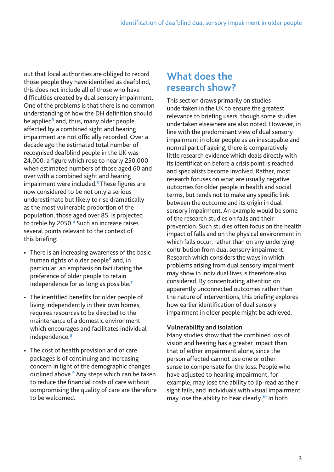out that local authorities are obliged to record those people they have identified as deafblind, this does not include all of those who have difficulties created by dual sensory impairment. One of the problems is that there is no common understanding of how the DH definition should be applied**<sup>3</sup>** and, thus, many older people affected by a combined sight and hearing impairment are not officially recorded. Over a decade ago the estimated total number of recognised deafblind people in the UK was 24,000: a figure which rose to nearly 250,000 when estimated numbers of those aged 60 and over with a combined sight and hearing impairment were included.**<sup>5</sup>** These figures are now considered to be not only a serious underestimate but likely to rise dramatically as the most vulnerable proportion of the population, those aged over 85, is projected to treble by 2050.**<sup>4</sup>** Such an increase raises several points relevant to the context of this briefing:

- There is an increasing awareness of the basic human rights of older people**<sup>6</sup>** and, in particular, an emphasis on facilitating the preference of older people to retain independence for as long as possible.**<sup>7</sup>**
- The identified benefits for older people of living independently in their own homes, requires resources to be directed to the maintenance of a domestic environment which encourages and facilitates individual independence.**<sup>8</sup>**
- The cost of health provision and of care packages is of continuing and increasing concern in light of the demographic changes outlined above.**<sup>9</sup>** Any steps which can be taken to reduce the financial costs of care without compromising the quality of care are therefore to be welcomed.

## **What does the research show?**

This section draws primarily on studies undertaken in the UK to ensure the greatest relevance to briefing users, though some studies undertaken elsewhere are also noted. However, in line with the predominant view of dual sensory impairment in older people as an inescapable and normal part of ageing, there is comparatively little research evidence which deals directly with its identification before a crisis point is reached and specialists become involved. Rather, most research focuses on what are usually negative outcomes for older people in health and social terms, but tends not to make any specific link between the outcome and its origin in dual sensory impairment. An example would be some of the research studies on falls and their prevention. Such studies often focus on the health impact of falls and on the physical environment in which falls occur, rather than on any underlying contribution from dual sensory impairment. Research which considers the ways in which problems arising from dual sensory impairment may show in individual lives is therefore also considered. By concentrating attention on apparently unconnected outcomes rather than the nature of interventions, this briefing explores how earlier identification of dual sensory impairment in older people might be achieved.

#### **Vulnerability and isolation**

Many studies show that the combined loss of vision and hearing has a greater impact than that of either impairment alone, since the person affected cannot use one or other sense to compensate for the loss. People who have adjusted to hearing impairment, for example, may lose the ability to lip-read as their sight fails, and individuals with visual impairment may lose the ability to hear clearly.**<sup>10</sup>** In both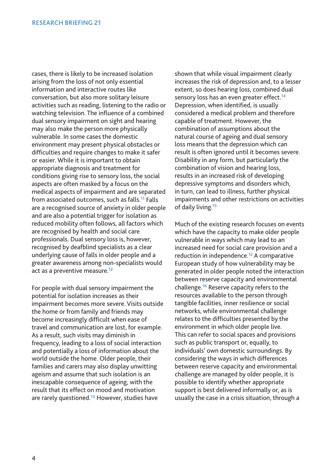cases, there is likely to be increased isolation arising from the loss of not only essential information and interactive routes like conversation, but also more solitary leisure activities such as reading, listening to the radio or watching television. The influence of a combined dual sensory impairment on sight and hearing may also make the person more physically vulnerable. In some cases the domestic environment may present physical obstacles or difficulties and require changes to make it safer or easier. While it is important to obtain appropriate diagnosis and treatment for conditions giving rise to sensory loss, the social aspects are often masked by a focus on the medical aspects of impairment and are separated from associated outcomes, such as falls.**<sup>11</sup>** Falls are a recognised source of anxiety in older people and are also a potential trigger for isolation as reduced mobility often follows, all factors which are recognised by health and social care professionals. Dual sensory loss is, however, recognised by deafblind specialists as a clear underlying cause of falls in older people and a greater awareness among non-specialists would act as a preventive measure.**<sup>12</sup>**

For people with dual sensory impairment the potential for isolation increases as their impairment becomes more severe. Visits outside the home or from family and friends may become increasingly difficult when ease of travel and communication are lost, for example. As a result, such visits may diminish in frequency, leading to a loss of social interaction and potentially a loss of information about the world outside the home. Older people, their families and carers may also display unwitting ageism and assume that such isolation is an inescapable consequence of ageing, with the result that its effect on mood and motivation are rarely questioned.**<sup>13</sup>** However, studies have

shown that while visual impairment clearly increases the risk of depression and, to a lesser extent, so does hearing loss, combined dual sensory loss has an even greater effect.**<sup>14</sup>** Depression, when identified, is usually considered a medical problem and therefore capable of treatment. However, the combination of assumptions about the natural course of ageing and dual sensory loss means that the depression which can result is often ignored until it becomes severe. Disability in any form, but particularly the combination of vision and hearing loss, results in an increased risk of developing depressive symptoms and disorders which, in turn, can lead to illness, further physical impairments and other restrictions on activities of daily living.**<sup>15</sup>**

Much of the existing research focuses on events which have the capacity to make older people vulnerable in ways which may lead to an increased need for social care provision and a reduction in independence.**<sup>12</sup>** A comparative European study of how vulnerability may be generated in older people noted the interaction between reserve capacity and environmental challenge.**<sup>16</sup>** Reserve capacity refers to the resources available to the person through tangible facilities, inner resilience or social networks, while environmental challenge relates to the difficulties presented by the environment in which older people live. This can refer to social spaces and provisions such as public transport or, equally, to individuals' own domestic surroundings. By considering the ways in which differences between reserve capacity and environmental challenge are managed by older people, it is possible to identify whether appropriate support is best delivered informally or, as is usually the case in a crisis situation, through a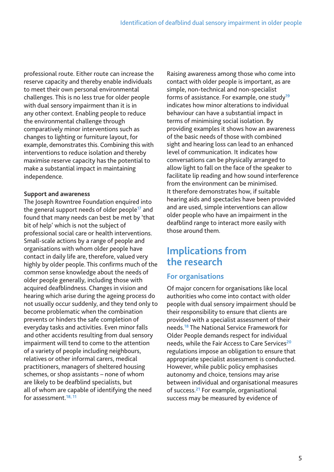professional route. Either route can increase the reserve capacity and thereby enable individuals to meet their own personal environmental challenges. This is no less true for older people with dual sensory impairment than it is in any other context. Enabling people to reduce the environmental challenge through comparatively minor interventions such as changes to lighting or furniture layout, for example, demonstrates this. Combining this with interventions to reduce isolation and thereby maximise reserve capacity has the potential to make a substantial impact in maintaining independence.

#### **Support and awareness**

The Joseph Rowntree Foundation enquired into the general support needs of older people**<sup>17</sup>** and found that many needs can best be met by 'that bit of help' which is not the subject of professional social care or health interventions. Small-scale actions by a range of people and organisations with whom older people have contact in daily life are, therefore, valued very highly by older people. This confirms much of the common sense knowledge about the needs of older people generally, including those with acquired deafblindness. Changes in vision and hearing which arise during the ageing process do not usually occur suddenly, and they tend only to become problematic when the combination prevents or hinders the safe completion of everyday tasks and activities. Even minor falls and other accidents resulting from dual sensory impairment will tend to come to the attention of a variety of people including neighbours, relatives or other informal carers, medical practitioners, managers of sheltered housing schemes, or shop assistants – none of whom are likely to be deafblind specialists, but all of whom are capable of identifying the need for assessment.**18, 11**

Raising awareness among those who come into contact with older people is important, as are simple, non-technical and non-specialist forms of assistance. For example, one study**<sup>19</sup>** indicates how minor alterations to individual behaviour can have a substantial impact in terms of minimising social isolation. By providing examples it shows how an awareness of the basic needs of those with combined sight and hearing loss can lead to an enhanced level of communication. It indicates how conversations can be physically arranged to allow light to fall on the face of the speaker to facilitate lip reading and how sound interference from the environment can be minimised. It therefore demonstrates how, if suitable hearing aids and spectacles have been provided and are used, simple interventions can allow older people who have an impairment in the deafblind range to interact more easily with those around them.

## **Implications from the research**

## **For organisations**

Of major concern for organisations like local authorities who come into contact with older people with dual sensory impairment should be their responsibility to ensure that clients are provided with a specialist assessment of their needs.**<sup>18</sup>** The National Service Framework for Older People demands respect for individual needs, while the Fair Access to Care Services**<sup>20</sup>** regulations impose an obligation to ensure that appropriate specialist assessment is conducted. However, while public policy emphasises autonomy and choice, tensions may arise between individual and organisational measures of success.**<sup>21</sup>** For example, organisational success may be measured by evidence of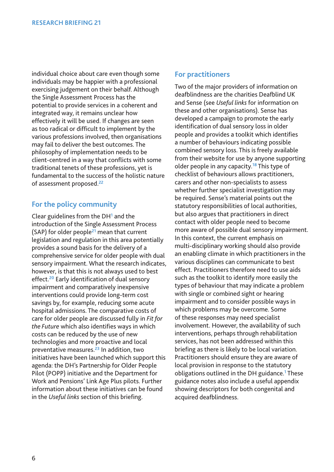individual choice about care even though some individuals may be happier with a professional exercising judgement on their behalf. Although the Single Assessment Process has the potential to provide services in a coherent and integrated way, it remains unclear how effectively it will be used. If changes are seen as too radical or difficult to implement by the various professions involved, then organisations may fail to deliver the best outcomes. The philosophy of implementation needs to be client-centred in a way that conflicts with some traditional tenets of these professions, yet is fundamental to the success of the holistic nature of assessment proposed.**<sup>22</sup>**

### **For the policy community**

Clear guidelines from the DH**<sup>1</sup>** and the introduction of the Single Assessment Process (SAP) for older people**<sup>21</sup>** mean that current legislation and regulation in this area potentially provides a sound basis for the delivery of a comprehensive service for older people with dual sensory impairment. What the research indicates, however, is that this is not always used to best effect.**<sup>20</sup>** Early identification of dual sensory impairment and comparatively inexpensive interventions could provide long-term cost savings by, for example, reducing some acute hospital admissions. The comparative costs of care for older people are discussed fully in *Fit for the Future* which also identifies ways in which costs can be reduced by the use of new technologies and more proactive and local preventative measures.**<sup>23</sup>** In addition, two initiatives have been launched which support this agenda: the DH's Partnership for Older People Pilot (POPP) initiative and the Department for Work and Pensions' Link Age Plus pilots. Further information about these initiatives can be found in the *Useful links* section of this briefing.

#### **For practitioners**

Two of the major providers of information on deafblindness are the charities Deafblind UK and Sense (see *Useful links* for information on these and other organisations). Sense has developed a campaign to promote the early identification of dual sensory loss in older people and provides a toolkit which identifies a number of behaviours indicating possible combined sensory loss. This is freely available from their website for use by anyone supporting older people in any capacity.**<sup>18</sup>** This type of checklist of behaviours allows practitioners, carers and other non-specialists to assess whether further specialist investigation may be required. Sense's material points out the statutory responsibilities of local authorities, but also argues that practitioners in direct contact with older people need to become more aware of possible dual sensory impairment. In this context, the current emphasis on multi-disciplinary working should also provide an enabling climate in which practitioners in the various disciplines can communicate to best effect. Practitioners therefore need to use aids such as the toolkit to identify more easily the types of behaviour that may indicate a problem with single or combined sight or hearing impairment and to consider possible ways in which problems may be overcome. Some of these responses may need specialist involvement. However, the availability of such interventions, perhaps through rehabilitation services, has not been addressed within this briefing as there is likely to be local variation. Practitioners should ensure they are aware of local provision in response to the statutory obligations outlined in the DH guidance.**<sup>1</sup>** These guidance notes also include a useful appendix showing descriptors for both congenital and acquired deafblindness.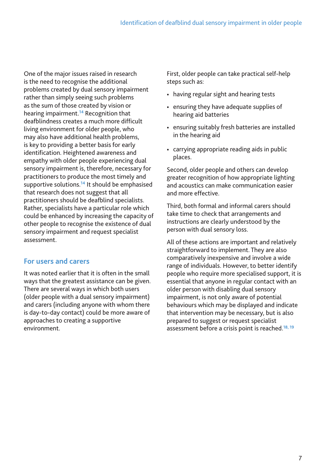One of the major issues raised in research is the need to recognise the additional problems created by dual sensory impairment rather than simply seeing such problems as the sum of those created by vision or hearing impairment.**<sup>14</sup>** Recognition that deafblindness creates a much more difficult living environment for older people, who may also have additional health problems, is key to providing a better basis for early identification. Heightened awareness and empathy with older people experiencing dual sensory impairment is, therefore, necessary for practitioners to produce the most timely and supportive solutions.**<sup>14</sup>** It should be emphasised that research does not suggest that all practitioners should be deafblind specialists. Rather, specialists have a particular role which could be enhanced by increasing the capacity of other people to recognise the existence of dual sensory impairment and request specialist assessment.

#### **For users and carers**

It was noted earlier that it is often in the small ways that the greatest assistance can be given. There are several ways in which both users (older people with a dual sensory impairment) and carers (including anyone with whom there is day-to-day contact) could be more aware of approaches to creating a supportive environment.

First, older people can take practical self-help steps such as:

- having regular sight and hearing tests
- ensuring they have adequate supplies of hearing aid batteries
- ensuring suitably fresh batteries are installed in the hearing aid
- carrying appropriate reading aids in public places.

Second, older people and others can develop greater recognition of how appropriate lighting and acoustics can make communication easier and more effective.

Third, both formal and informal carers should take time to check that arrangements and instructions are clearly understood by the person with dual sensory loss.

All of these actions are important and relatively straightforward to implement. They are also comparatively inexpensive and involve a wide range of individuals. However, to better identify people who require more specialised support, it is essential that anyone in regular contact with an older person with disabling dual sensory impairment, is not only aware of potential behaviours which may be displayed and indicate that intervention may be necessary, but is also prepared to suggest or request specialist assessment before a crisis point is reached.**18, 19**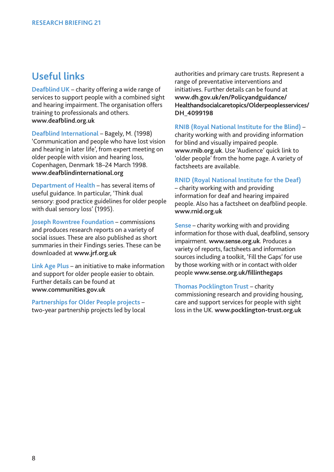## **Useful links**

**Deafblind UK** – charity offering a wide range of services to support people with a combined sight and hearing impairment. The organisation offers training to professionals and others. **www.deafblind.org.uk** 

**Deafblind International** – Bagely, M. (1998) 'Communication and people who have lost vision and hearing in later life', from expert meeting on older people with vision and hearing loss, Copenhagen, Denmark 18–24 March 1998. **www.deafblindinternational.org** 

**Department of Health** – has several items of useful guidance. In particular, 'Think dual sensory: good practice guidelines for older people with dual sensory loss' (1995).

**Joseph Rowntree Foundation** – commissions and produces research reports on a variety of social issues. These are also published as short summaries in their Findings series. These can be downloaded at **www.jrf.org.uk**

**Link Age Plus** – an initiative to make information and support for older people easier to obtain. Further details can be found at **www.communities.gov.uk**

**Partnerships for Older People projects** – two-year partnership projects led by local authorities and primary care trusts. Represent a range of preventative interventions and initiatives. Further details can be found at **www.dh.gov.uk/en/Policyandguidance/ Healthandsocialcaretopics/Olderpeoplesservices/ DH\_4099198**

**RNIB (Royal National Institute for the Blind)** –

charity working with and providing information for blind and visually impaired people. **www.rnib.org.uk**. Use 'Audience' quick link to 'older people' from the home page. A variety of factsheets are available.

**RNID (Royal National Institute for the Deaf)**

– charity working with and providing information for deaf and hearing impaired people. Also has a factsheet on deafblind people. **www.rnid.org.uk**

**Sense** – charity working with and providing information for those with dual, deafblind, sensory impairment. **www.sense.org.uk**. Produces a variety of reports, factsheets and information sources including a toolkit, 'Fill the Gaps' for use by those working with or in contact with older people **www.sense.org.uk/fillinthegaps**

**Thomas Pocklington Trust** – charity commissioning research and providing housing, care and support services for people with sight loss in the UK. **www.pocklington-trust.org.uk**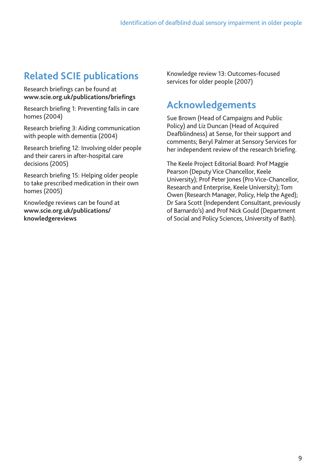# **Related SCIE publications**

Research briefings can be found at **www.scie.org.uk/publications/briefings**

Research briefing 1: Preventing falls in care homes (2004)

Research briefing 3: Aiding communication with people with dementia (2004)

Research briefing 12: Involving older people and their carers in after-hospital care decisions (2005)

Research briefing 15: Helping older people to take prescribed medication in their own homes (2005)

Knowledge reviews can be found at **www.scie.org.uk/publications/ knowledgereviews**

Knowledge review 13: Outcomes-focused services for older people (2007)

# **Acknowledgements**

Sue Brown (Head of Campaigns and Public Policy) and Liz Duncan (Head of Acquired Deafblindness) at Sense, for their support and comments; Beryl Palmer at Sensory Services for her independent review of the research briefing.

The Keele Project Editorial Board: Prof Maggie Pearson (Deputy Vice Chancellor, Keele University); Prof Peter Jones (Pro Vice-Chancellor, Research and Enterprise, Keele University); Tom Owen (Research Manager, Policy, Help the Aged); Dr Sara Scott (Independent Consultant, previously of Barnardo's) and Prof Nick Gould (Department of Social and Policy Sciences, University of Bath).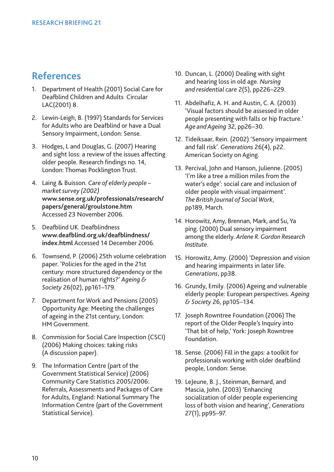## **References**

- 1. Department of Health (2001) Social Care for Deafblind Children and Adults Circular LAC(2001) 8.
- 2. Lewin-Leigh, B. (1997) Standards for Services for Adults who are Deafblind or have a Dual Sensory Impairment, London: Sense.
- 3. Hodges, L and Douglas, G. (2007) Hearing and sight loss: a review of the issues affecting older people. Research findings no. 14, London: Thomas Pocklington Trust.
- 4. Laing & Buisson. *Care of elderly people – market survey (2002)* **www.sense.org.uk/professionals/research/ papers/general/groulstone.htm** Accessed 23 November 2006.
- 5. Deafblind UK. Deafblindness **www.deafblind.org.uk/deafblindness/ index.html** Accessed 14 December 2006.
- 6. Townsend, P. (2006) 25th volume celebration paper. 'Policies for the aged in the 21st century: more structured dependency or the realisation of human rights?' *Ageing & Society* 26(02), pp161–179.
- 7. Department for Work and Pensions (2005) Opportunity Age: Meeting the challenges of ageing in the 21st century, London: HM Government.
- 8. Commission for Social Care Inspection (CSCI) (2006) Making choices: taking risks (A discussion paper).
- 9. The Information Centre (part of the Government Statistical Service) (2006) Community Care Statistics 2005/2006: Referrals, Assessments and Packages of Care for Adults, England: National Summary The Information Centre (part of the Government Statistical Service).
- 10. Duncan, L. (2000) Dealing with sight and hearing loss in old age. *Nursing and residential care* 2(5), pp226–229.
- 11. Abdelhafiz, A. H. and Austin, C. A. (2003) 'Visual factors should be assessed in older people presenting with falls or hip fracture.' *Age and Ageing* 32, pp26–30.
- 12. Tideiksaar, Rein. (2002) 'Sensory impairment and fall risk'. *Generations* 26(4), p22. American Society on Aging.
- 13. Percival, John and Hanson, Julienne. (2005) 'I'm like a tree a million miles from the water's edge': social care and inclusion of older people with visual impairment'. *The British Journal of Social Work*, pp189, March.
- 14. Horowitz, Amy, Brennan, Mark, and Su, Ya ping. (2000) Dual sensory impairment among the elderly. *Arlene R. Gordon Research Institute*.
- 15. Horowitz, Amy. (2000) 'Depression and vision and hearing impairments in later life. *Generations*, pp38.
- 16. Grundy, Emily. (2006) Ageing and vulnerable elderly people: European perspectives. *Ageing & Society* 26, pp105–134.
- 17. Joseph Rowntree Foundation (2006) The report of the Older People's Inquiry into 'That bit of help,' York: Joseph Rowntree Foundation.
- 18. Sense. (2006) Fill in the gaps: a toolkit for professionals working with older deafblind people, London: Sense.
- 19. LeJeune, B. J., Steinman, Bernard, and Mascia, John. (2003) 'Enhancing socialization of older people experiencing loss of both vision and hearing', *Generations* 27(1), pp95–97.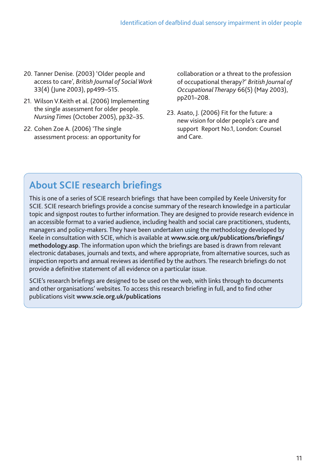- 20. Tanner Denise. (2003) 'Older people and access to care', *British Journal of Social Work* 33(4) (June 2003), pp499–515.
- 21. Wilson V.Keith et al. (2006) Implementing the single assessment for older people. *Nursing Times* (October 2005), pp32–35.
- 22. Cohen Zoe A. (2006) 'The single assessment process: an opportunity for

collaboration or a threat to the profession of occupational therapy?' *British Journal of Occupational Therapy* 66(5) (May 2003), pp201–208.

23. Asato, J. (2006) Fit for the future: a new vision for older people's care and support Report No.1, London: Counsel and Care.

# **About SCIE research briefings**

This is one of a series of SCIE research briefings that have been compiled by Keele University for SCIE. SCIE research briefings provide a concise summary of the research knowledge in a particular topic and signpost routes to further information. They are designed to provide research evidence in an accessible format to a varied audience, including health and social care practitioners, students, managers and policy-makers. They have been undertaken using the methodology developed by Keele in consultation with SCIE, which is available at **www.scie.org.uk/publications/briefings/ methodology.asp**. The information upon which the briefings are based is drawn from relevant electronic databases, journals and texts, and where appropriate, from alternative sources, such as inspection reports and annual reviews as identified by the authors. The research briefings do not provide a definitive statement of all evidence on a particular issue.

SCIE's research briefings are designed to be used on the web, with links through to documents and other organisations' websites. To access this research briefing in full, and to find other publications visit **www.scie.org.uk/publications**